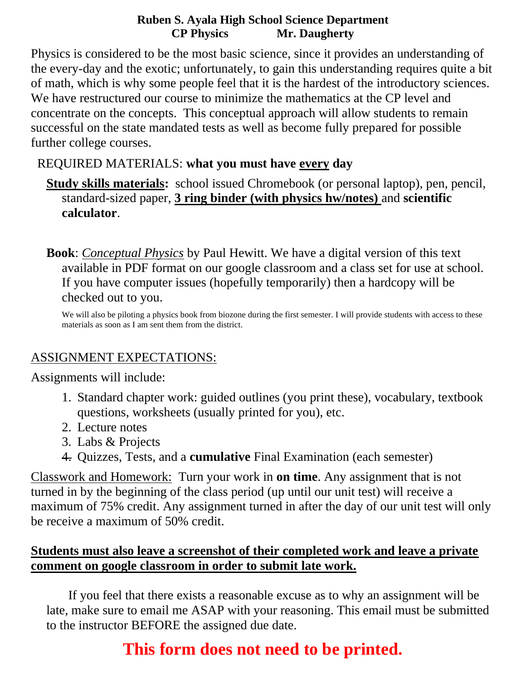Physics is considered to be the most basic science, since it provides an understanding of the every-day and the exotic; unfortunately, to gain this understanding requires quite a bit of math, which is why some people feel that it is the hardest of the introductory sciences. We have restructured our course to minimize the mathematics at the CP level and concentrate on the concepts. This conceptual approach will allow students to remain successful on the state mandated tests as well as become fully prepared for possible further college courses.

### REQUIRED MATERIALS: **what you must have every day**

- **Study skills materials:** school issued Chromebook (or personal laptop), pen, pencil, standard-sized paper, **3 ring binder (with physics hw/notes)** and **scientific calculator**.
- **Book**: *Conceptual Physics* by Paul Hewitt. We have a digital version of this text available in PDF format on our google classroom and a class set for use at school. If you have computer issues (hopefully temporarily) then a hardcopy will be checked out to you.

We will also be piloting a physics book from biozone during the first semester. I will provide students with access to these materials as soon as I am sent them from the district.

### ASSIGNMENT EXPECTATIONS:

Assignments will include:

- 1. Standard chapter work: guided outlines (you print these), vocabulary, textbook questions, worksheets (usually printed for you), etc.
- 2. Lecture notes
- 3. Labs & Projects
- 4. Quizzes, Tests, and a **cumulative** Final Examination (each semester)

Classwork and Homework: Turn your work in **on time**. Any assignment that is not turned in by the beginning of the class period (up until our unit test) will receive a maximum of 75% credit. Any assignment turned in after the day of our unit test will only be receive a maximum of 50% credit.

### **Students must also leave a screenshot of their completed work and leave a private comment on google classroom in order to submit late work.**

 If you feel that there exists a reasonable excuse as to why an assignment will be late, make sure to email me ASAP with your reasoning. This email must be submitted to the instructor BEFORE the assigned due date.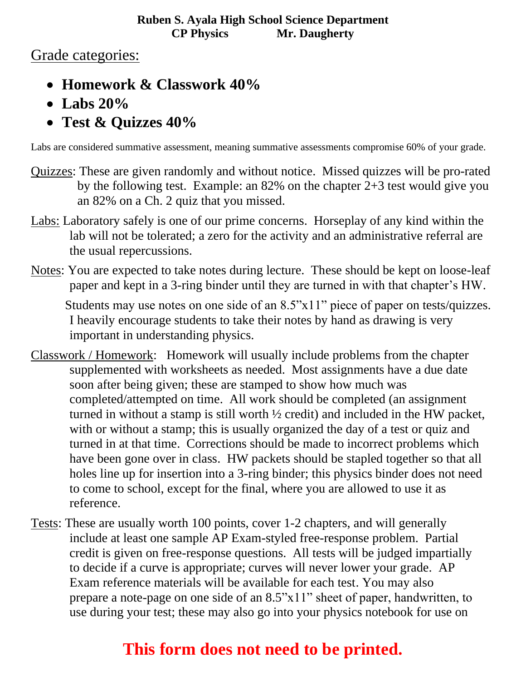### Grade categories:

- **Homework & Classwork 40%**
- **Labs 20%**
- **Test & Quizzes 40%**

Labs are considered summative assessment, meaning summative assessments compromise 60% of your grade.

- Quizzes: These are given randomly and without notice. Missed quizzes will be pro-rated by the following test. Example: an 82% on the chapter 2+3 test would give you an 82% on a Ch. 2 quiz that you missed.
- Labs: Laboratory safely is one of our prime concerns. Horseplay of any kind within the lab will not be tolerated; a zero for the activity and an administrative referral are the usual repercussions.
- Notes: You are expected to take notes during lecture. These should be kept on loose-leaf paper and kept in a 3-ring binder until they are turned in with that chapter's HW.

Students may use notes on one side of an 8.5"x11" piece of paper on tests/quizzes. I heavily encourage students to take their notes by hand as drawing is very important in understanding physics.

- Classwork / Homework: Homework will usually include problems from the chapter supplemented with worksheets as needed. Most assignments have a due date soon after being given; these are stamped to show how much was completed/attempted on time. All work should be completed (an assignment turned in without a stamp is still worth ½ credit) and included in the HW packet, with or without a stamp; this is usually organized the day of a test or quiz and turned in at that time. Corrections should be made to incorrect problems which have been gone over in class. HW packets should be stapled together so that all holes line up for insertion into a 3-ring binder; this physics binder does not need to come to school, except for the final, where you are allowed to use it as reference.
- Tests: These are usually worth 100 points, cover 1-2 chapters, and will generally include at least one sample AP Exam-styled free-response problem. Partial credit is given on free-response questions. All tests will be judged impartially to decide if a curve is appropriate; curves will never lower your grade. AP Exam reference materials will be available for each test. You may also prepare a note-page on one side of an 8.5"x11" sheet of paper, handwritten, to use during your test; these may also go into your physics notebook for use on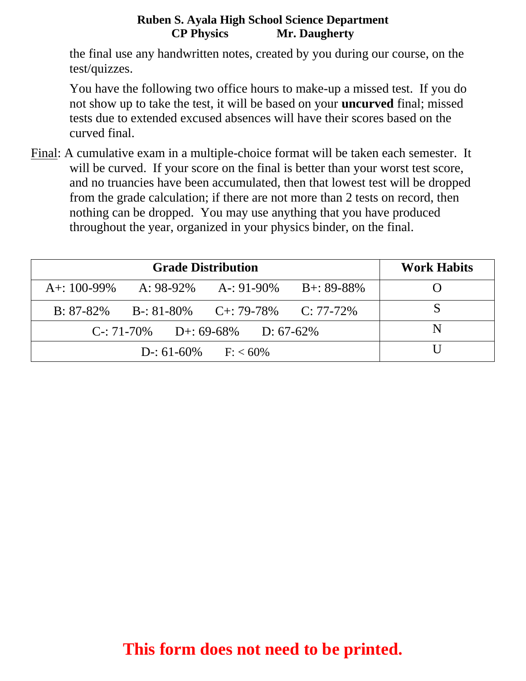the final use any handwritten notes, created by you during our course, on the test/quizzes.

You have the following two office hours to make-up a missed test. If you do not show up to take the test, it will be based on your **uncurved** final; missed tests due to extended excused absences will have their scores based on the curved final.

Final: A cumulative exam in a multiple-choice format will be taken each semester. It will be curved. If your score on the final is better than your worst test score, and no truancies have been accumulated, then that lowest test will be dropped from the grade calculation; if there are not more than 2 tests on record, then nothing can be dropped. You may use anything that you have produced throughout the year, organized in your physics binder, on the final.

| <b>Grade Distribution</b>          |  |                                          |  | <b>Work Habits</b> |
|------------------------------------|--|------------------------------------------|--|--------------------|
| A+: $100-99\%$                     |  | A: $98-92\%$ A-: $91-90\%$ B+: $89-88\%$ |  |                    |
| $B: 87-82\%$                       |  | $B-31-80\%$ $C+39-78\%$ $C: 77-72\%$     |  |                    |
| $C-$ : 71-70% D+: 69-68% D: 67-62% |  |                                          |  |                    |
| $D-$ : 61-60% F: < 60%             |  |                                          |  |                    |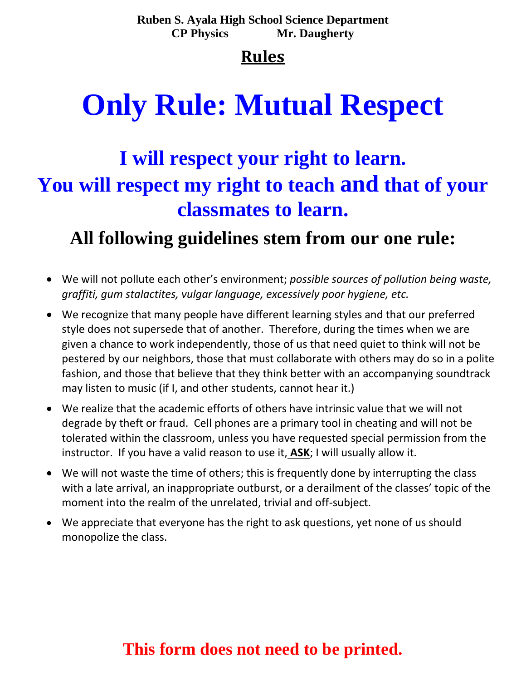## **Rules**

# **Only Rule: Mutual Respect**

# **I will respect your right to learn. You will respect my right to teach and that of your classmates to learn.**

# **All following guidelines stem from our one rule:**

- We will not pollute each other's environment; *possible sources of pollution being waste, graffiti, gum stalactites, vulgar language, excessively poor hygiene, etc.*
- We recognize that many people have different learning styles and that our preferred style does not supersede that of another. Therefore, during the times when we are given a chance to work independently, those of us that need quiet to think will not be pestered by our neighbors, those that must collaborate with others may do so in a polite fashion, and those that believe that they think better with an accompanying soundtrack may listen to music (if I, and other students, cannot hear it.)
- We realize that the academic efforts of others have intrinsic value that we will not degrade by theft or fraud. Cell phones are a primary tool in cheating and will not be tolerated within the classroom, unless you have requested special permission from the instructor. If you have a valid reason to use it, **ASK**; I will usually allow it.
- We will not waste the time of others; this is frequently done by interrupting the class with a late arrival, an inappropriate outburst, or a derailment of the classes' topic of the moment into the realm of the unrelated, trivial and off-subject.
- We appreciate that everyone has the right to ask questions, yet none of us should monopolize the class.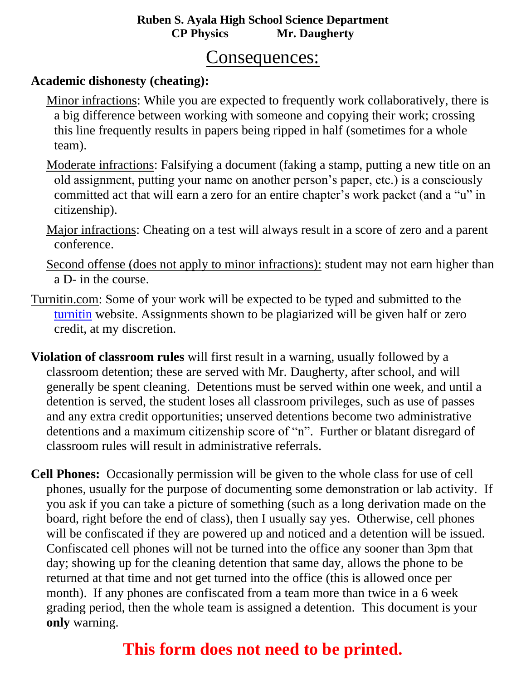### Consequences:

### **Academic dishonesty (cheating):**

- Minor infractions: While you are expected to frequently work collaboratively, there is a big difference between working with someone and copying their work; crossing this line frequently results in papers being ripped in half (sometimes for a whole team).
- Moderate infractions: Falsifying a document (faking a stamp, putting a new title on an old assignment, putting your name on another person's paper, etc.) is a consciously committed act that will earn a zero for an entire chapter's work packet (and a "u" in citizenship).
- Major infractions: Cheating on a test will always result in a score of zero and a parent conference.
- Second offense (does not apply to minor infractions): student may not earn higher than a D- in the course.
- Turnitin.com: Some of your work will be expected to be typed and submitted to the [turnitin](file:///C:/Documents%20and%20Settings/Scott%20Carter/My%20Documents/My%20Dropbox/Filing%20Cabinet/AP%20Physics%20B/turnitin.com) website. Assignments shown to be plagiarized will be given half or zero credit, at my discretion.
- **Violation of classroom rules** will first result in a warning, usually followed by a classroom detention; these are served with Mr. Daugherty, after school, and will generally be spent cleaning. Detentions must be served within one week, and until a detention is served, the student loses all classroom privileges, such as use of passes and any extra credit opportunities; unserved detentions become two administrative detentions and a maximum citizenship score of "n". Further or blatant disregard of classroom rules will result in administrative referrals.
- **Cell Phones:** Occasionally permission will be given to the whole class for use of cell phones, usually for the purpose of documenting some demonstration or lab activity. If you ask if you can take a picture of something (such as a long derivation made on the board, right before the end of class), then I usually say yes. Otherwise, cell phones will be confiscated if they are powered up and noticed and a detention will be issued. Confiscated cell phones will not be turned into the office any sooner than 3pm that day; showing up for the cleaning detention that same day, allows the phone to be returned at that time and not get turned into the office (this is allowed once per month). If any phones are confiscated from a team more than twice in a 6 week grading period, then the whole team is assigned a detention. This document is your **only** warning.